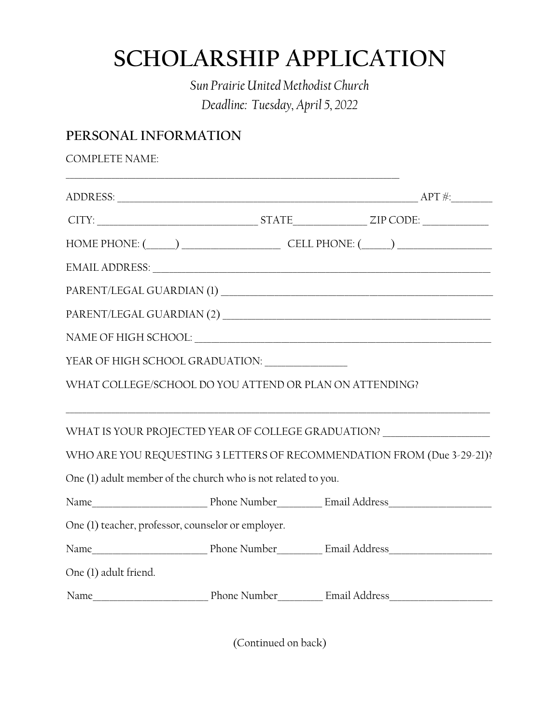# **SCHOLARSHIP APPLICATION**

*Sun Prairie United Methodist Church Deadline: Tuesday, April 5, 2022*

## **PERSONAL INFORMATION**

| <b>COMPLETE NAME:</b>                                                                                                                                                                                                          |  |  |
|--------------------------------------------------------------------------------------------------------------------------------------------------------------------------------------------------------------------------------|--|--|
|                                                                                                                                                                                                                                |  |  |
| $CITY:$ $ZIP\,CODE:$ $ZIP\,CODE:$                                                                                                                                                                                              |  |  |
| HOME PHONE: $(\_\_\_\_)$ CELL PHONE: $(\_\_\_\_)$                                                                                                                                                                              |  |  |
| EMAIL ADDRESS: University of the contract of the contract of the contract of the contract of the contract of the contract of the contract of the contract of the contract of the contract of the contract of the contract of t |  |  |
| PARENT/LEGAL GUARDIAN (1)                                                                                                                                                                                                      |  |  |
|                                                                                                                                                                                                                                |  |  |
|                                                                                                                                                                                                                                |  |  |
| YEAR OF HIGH SCHOOL GRADUATION: University of the SCHOOL GRADUATION:                                                                                                                                                           |  |  |
| WHAT COLLEGE/SCHOOL DO YOU ATTEND OR PLAN ON ATTENDING?                                                                                                                                                                        |  |  |
| WHAT IS YOUR PROJECTED YEAR OF COLLEGE GRADUATION? _____________________________                                                                                                                                               |  |  |
| WHO ARE YOU REQUESTING 3 LETTERS OF RECOMMENDATION FROM (Due 3-29-21)?                                                                                                                                                         |  |  |
| One (1) adult member of the church who is not related to you.                                                                                                                                                                  |  |  |
|                                                                                                                                                                                                                                |  |  |
| One (1) teacher, professor, counselor or employer.                                                                                                                                                                             |  |  |
|                                                                                                                                                                                                                                |  |  |
| One (1) adult friend.                                                                                                                                                                                                          |  |  |
| Name  Munder  Munder  Munder  Munder  Munder  Munder  Munder  Munder  Munder  Munder  Munder  Munder  Munder  Munder  Munder  Munder  Munder  Munder  Munder  Munder  Munder  Munder  Munder  Munder  Munder  Munder  Munder   |  |  |

(Continued on back)